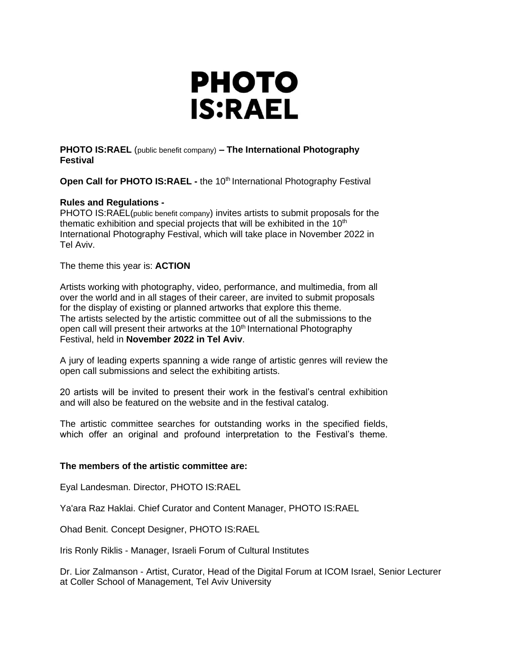

**PHOTO IS:RAEL** (public benefit company) **– The International Photography Festival**

**Open Call for PHOTO IS:RAEL -** the 10<sup>th</sup> International Photography Festival

# **Rules and Regulations -**

PHOTO IS:RAEL(public benefit company) invites artists to submit proposals for the thematic exhibition and special projects that will be exhibited in the  $10<sup>th</sup>$ International Photography Festival, which will take place in November 2022 in Tel Aviv.

The theme this year is: **ACTION**

Artists working with photography, video, performance, and multimedia, from all over the world and in all stages of their career, are invited to submit proposals for the display of existing or planned artworks that explore this theme. The artists selected by the artistic committee out of all the submissions to the open call will present their artworks at the 10<sup>th</sup> International Photography Festival, held in **November 2022 in Tel Aviv**.

A jury of leading experts spanning a wide range of artistic genres will review the open call submissions and select the exhibiting artists.

20 artists will be invited to present their work in the festival's central exhibition and will also be featured on the website and in the festival catalog.

The artistic committee searches for outstanding works in the specified fields, which offer an original and profound interpretation to the Festival's theme.

# **The members of the artistic committee are:**

Eyal Landesman. Director, PHOTO IS:RAEL

Ya'ara Raz Haklai. Chief Curator and Content Manager, PHOTO IS:RAEL

Ohad Benit. Concept Designer, PHOTO IS:RAEL

Iris Ronly Riklis - Manager, Israeli Forum of Cultural Institutes

Dr. Lior Zalmanson - Artist, Curator, Head of the Digital Forum at ICOM Israel, Senior Lecturer at Coller School of Management, Tel Aviv University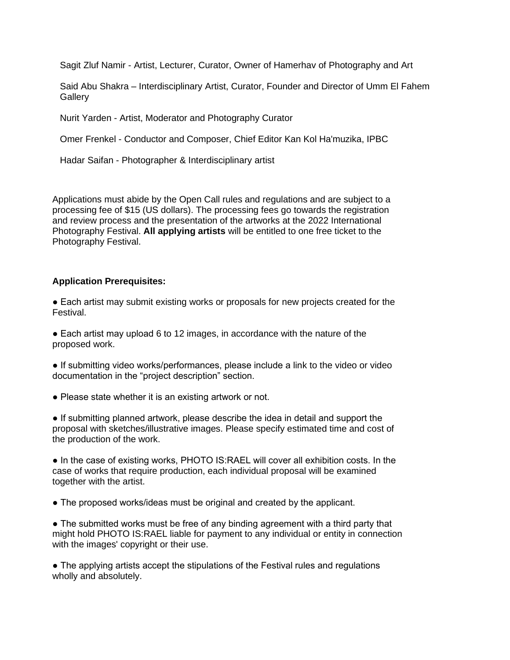Sagit Zluf Namir - Artist, Lecturer, Curator, Owner of Hamerhav of Photography and Art

Said Abu Shakra – Interdisciplinary Artist, Curator, Founder and Director of Umm El Fahem **Gallery** 

Nurit Yarden - Artist, Moderator and Photography Curator

Omer Frenkel - Conductor and Composer, Chief Editor Kan Kol Ha'muzika, IPBC

Hadar Saifan - Photographer & Interdisciplinary artist

Applications must abide by the Open Call rules and regulations and are subject to a processing fee of \$15 (US dollars). The processing fees go towards the registration and review process and the presentation of the artworks at the 2022 International Photography Festival. **All applying artists** will be entitled to one free ticket to the Photography Festival.

#### **Application Prerequisites:**

● Each artist may submit existing works or proposals for new projects created for the Festival.

■ Each artist may upload 6 to 12 images, in accordance with the nature of the proposed work.

● If submitting video works/performances, please include a link to the video or video documentation in the "project description" section.

• Please state whether it is an existing artwork or not.

● If submitting planned artwork, please describe the idea in detail and support the proposal with sketches/illustrative images. Please specify estimated time and cost of the production of the work.

● In the case of existing works, PHOTO IS:RAEL will cover all exhibition costs. In the case of works that require production, each individual proposal will be examined together with the artist.

• The proposed works/ideas must be original and created by the applicant.

• The submitted works must be free of any binding agreement with a third party that might hold PHOTO IS:RAEL liable for payment to any individual or entity in connection with the images' copyright or their use.

• The applying artists accept the stipulations of the Festival rules and regulations wholly and absolutely.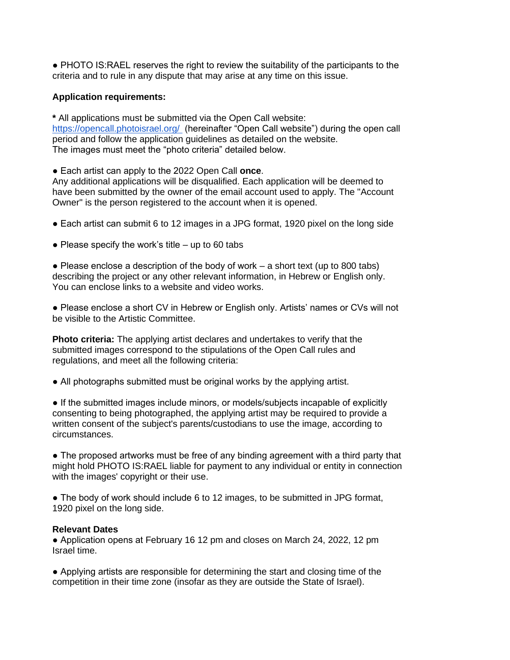● PHOTO IS:RAEL reserves the right to review the suitability of the participants to the criteria and to rule in any dispute that may arise at any time on this issue.

# **Application requirements:**

**\*** All applications must be submitted via the Open Call website: https://opencall.photoisrael.org/ (hereinafter "Open Call website") during the open call period and follow the application guidelines as detailed on the website. The images must meet the "photo criteria" detailed below.

● Each artist can apply to the 2022 Open Call **once**.

Any additional applications will be disqualified. Each application will be deemed to have been submitted by the owner of the email account used to apply. The "Account Owner" is the person registered to the account when it is opened.

- Each artist can submit 6 to 12 images in a JPG format, 1920 pixel on the long side
- Please specify the work's title  $-$  up to 60 tabs

 $\bullet$  Please enclose a description of the body of work – a short text (up to 800 tabs) describing the project or any other relevant information, in Hebrew or English only. You can enclose links to a website and video works.

● Please enclose a short CV in Hebrew or English only. Artists' names or CVs will not be visible to the Artistic Committee.

**Photo criteria:** The applying artist declares and undertakes to verify that the submitted images correspond to the stipulations of the Open Call rules and regulations, and meet all the following criteria:

• All photographs submitted must be original works by the applying artist.

● If the submitted images include minors, or models/subjects incapable of explicitly consenting to being photographed, the applying artist may be required to provide a written consent of the subject's parents/custodians to use the image, according to circumstances.

• The proposed artworks must be free of any binding agreement with a third party that might hold PHOTO IS:RAEL liable for payment to any individual or entity in connection with the images' copyright or their use.

• The body of work should include 6 to 12 images, to be submitted in JPG format, 1920 pixel on the long side.

# **Relevant Dates**

● Application opens at February 16 12 pm and closes on March 24, 2022, 12 pm Israel time.

● Applying artists are responsible for determining the start and closing time of the competition in their time zone (insofar as they are outside the State of Israel).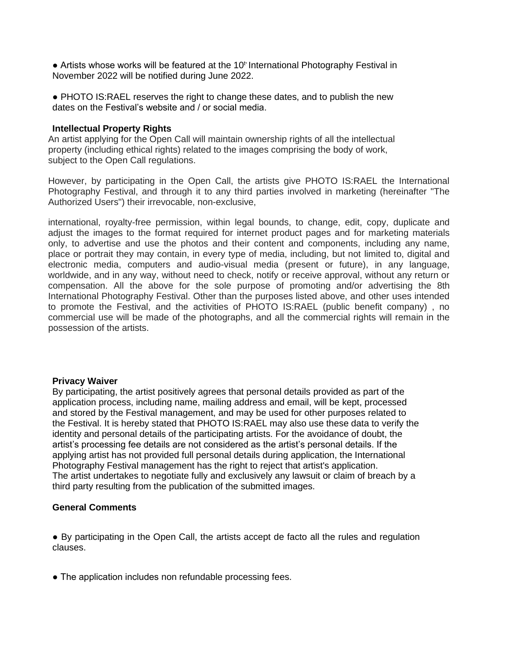• Artists whose works will be featured at the 10<sup>t</sup> International Photography Festival in November 2022 will be notified during June 2022.

● PHOTO IS:RAEL reserves the right to change these dates, and to publish the new dates on the Festival's website and / or social media.

#### **Intellectual Property Rights**

An artist applying for the Open Call will maintain ownership rights of all the intellectual property (including ethical rights) related to the images comprising the body of work, subject to the Open Call regulations.

However, by participating in the Open Call, the artists give PHOTO IS:RAEL the International Photography Festival, and through it to any third parties involved in marketing (hereinafter "The Authorized Users") their irrevocable, non-exclusive,

international, royalty-free permission, within legal bounds, to change, edit, copy, duplicate and adjust the images to the format required for internet product pages and for marketing materials only, to advertise and use the photos and their content and components, including any name, place or portrait they may contain, in every type of media, including, but not limited to, digital and electronic media, computers and audio-visual media (present or future), in any language, worldwide, and in any way, without need to check, notify or receive approval, without any return or compensation. All the above for the sole purpose of promoting and/or advertising the 8th International Photography Festival. Other than the purposes listed above, and other uses intended to promote the Festival, and the activities of PHOTO IS:RAEL (public benefit company) , no commercial use will be made of the photographs, and all the commercial rights will remain in the possession of the artists.

#### **Privacy Waiver**

By participating, the artist positively agrees that personal details provided as part of the application process, including name, mailing address and email, will be kept, processed and stored by the Festival management, and may be used for other purposes related to the Festival. It is hereby stated that PHOTO IS:RAEL may also use these data to verify the identity and personal details of the participating artists. For the avoidance of doubt, the artist's processing fee details are not considered as the artist's personal details. If the applying artist has not provided full personal details during application, the International Photography Festival management has the right to reject that artist's application. The artist undertakes to negotiate fully and exclusively any lawsuit or claim of breach by a third party resulting from the publication of the submitted images.

# **General Comments**

● By participating in the Open Call, the artists accept de facto all the rules and regulation clauses.

• The application includes non refundable processing fees.